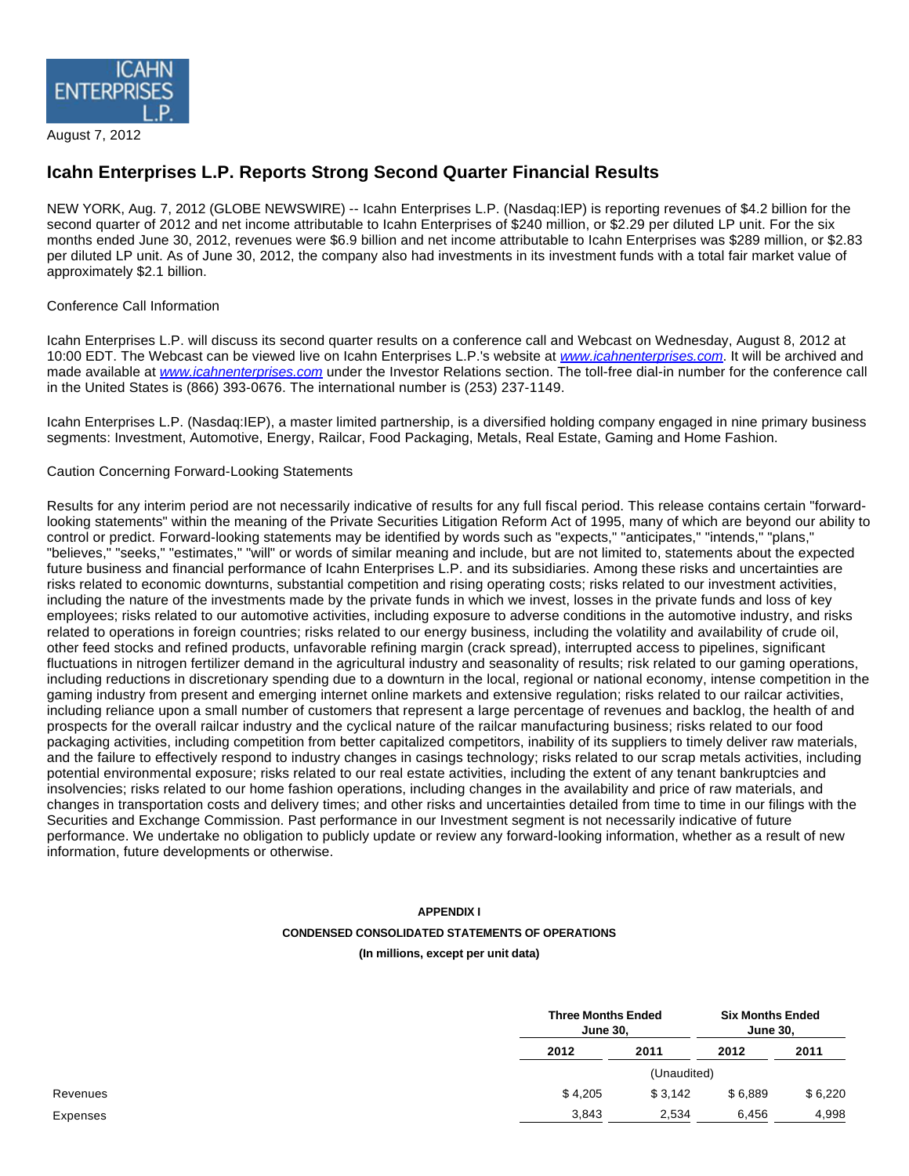

August 7, 2012

## **Icahn Enterprises L.P. Reports Strong Second Quarter Financial Results**

NEW YORK, Aug. 7, 2012 (GLOBE NEWSWIRE) -- Icahn Enterprises L.P. (Nasdaq:IEP) is reporting revenues of \$4.2 billion for the second quarter of 2012 and net income attributable to Icahn Enterprises of \$240 million, or \$2.29 per diluted LP unit. For the six months ended June 30, 2012, revenues were \$6.9 billion and net income attributable to Icahn Enterprises was \$289 million, or \$2.83 per diluted LP unit. As of June 30, 2012, the company also had investments in its investment funds with a total fair market value of approximately \$2.1 billion.

### Conference Call Information

Icahn Enterprises L.P. will discuss its second quarter results on a conference call and Webcast on Wednesday, August 8, 2012 at 10:00 EDT. The Webcast can be viewed live on Icahn Enterprises L.P.'s website at [www.icahnenterprises.com](http://www.globenewswire.com/newsroom/ctr?d=10001221&l=3&a=www.icahnenterprises.com&u=http%3A%2F%2Fwww.icahnenterprises.com). It will be archived and made available at [www.icahnenterprises.com](http://www.globenewswire.com/newsroom/ctr?d=10001221&l=3&a=www.icahnenterprises.com&u=http%3A%2F%2Fwww.icahnenterprises.com) under the Investor Relations section. The toll-free dial-in number for the conference call in the United States is (866) 393-0676. The international number is (253) 237-1149.

Icahn Enterprises L.P. (Nasdaq:IEP), a master limited partnership, is a diversified holding company engaged in nine primary business segments: Investment, Automotive, Energy, Railcar, Food Packaging, Metals, Real Estate, Gaming and Home Fashion.

#### Caution Concerning Forward-Looking Statements

Results for any interim period are not necessarily indicative of results for any full fiscal period. This release contains certain "forwardlooking statements" within the meaning of the Private Securities Litigation Reform Act of 1995, many of which are beyond our ability to control or predict. Forward-looking statements may be identified by words such as "expects," "anticipates," "intends," "plans," "believes," "seeks," "estimates," "will" or words of similar meaning and include, but are not limited to, statements about the expected future business and financial performance of Icahn Enterprises L.P. and its subsidiaries. Among these risks and uncertainties are risks related to economic downturns, substantial competition and rising operating costs; risks related to our investment activities, including the nature of the investments made by the private funds in which we invest, losses in the private funds and loss of key employees; risks related to our automotive activities, including exposure to adverse conditions in the automotive industry, and risks related to operations in foreign countries; risks related to our energy business, including the volatility and availability of crude oil, other feed stocks and refined products, unfavorable refining margin (crack spread), interrupted access to pipelines, significant fluctuations in nitrogen fertilizer demand in the agricultural industry and seasonality of results; risk related to our gaming operations, including reductions in discretionary spending due to a downturn in the local, regional or national economy, intense competition in the gaming industry from present and emerging internet online markets and extensive regulation; risks related to our railcar activities, including reliance upon a small number of customers that represent a large percentage of revenues and backlog, the health of and prospects for the overall railcar industry and the cyclical nature of the railcar manufacturing business; risks related to our food packaging activities, including competition from better capitalized competitors, inability of its suppliers to timely deliver raw materials, and the failure to effectively respond to industry changes in casings technology; risks related to our scrap metals activities, including potential environmental exposure; risks related to our real estate activities, including the extent of any tenant bankruptcies and insolvencies; risks related to our home fashion operations, including changes in the availability and price of raw materials, and changes in transportation costs and delivery times; and other risks and uncertainties detailed from time to time in our filings with the Securities and Exchange Commission. Past performance in our Investment segment is not necessarily indicative of future performance. We undertake no obligation to publicly update or review any forward-looking information, whether as a result of new information, future developments or otherwise.

# **APPENDIX I CONDENSED CONSOLIDATED STATEMENTS OF OPERATIONS**

#### **(In millions, except per unit data)**

| <b>Three Months Ended</b><br><b>June 30,</b> |             | <b>Six Months Ended</b><br><b>June 30,</b> |         |
|----------------------------------------------|-------------|--------------------------------------------|---------|
| 2012                                         | 2011        | 2012                                       | 2011    |
|                                              | (Unaudited) |                                            |         |
| \$4,205                                      | \$3,142     | \$6,889                                    | \$6,220 |
| 3,843                                        | 2,534       | 6.456                                      | 4,998   |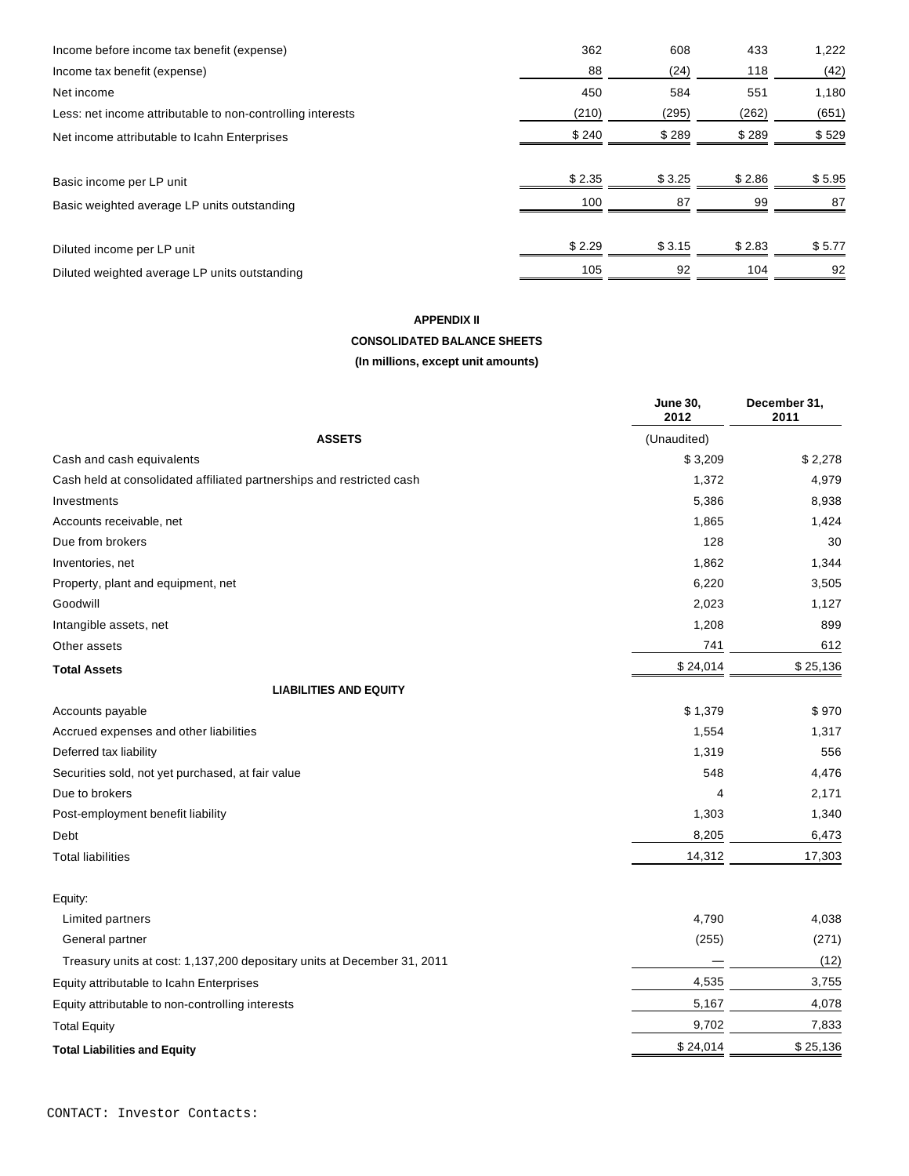| Income before income tax benefit (expense)                 | 362    | 608    | 433    | 1,222  |
|------------------------------------------------------------|--------|--------|--------|--------|
| Income tax benefit (expense)                               | 88     | (24)   | 118    | (42)   |
| Net income                                                 | 450    | 584    | 551    | 1,180  |
| Less: net income attributable to non-controlling interests | (210)  | (295)  | (262)  | (651)  |
| Net income attributable to Icahn Enterprises               | \$240  | \$289  | \$289  | \$529  |
| Basic income per LP unit                                   | \$2.35 | \$3.25 | \$2.86 | \$5.95 |
| Basic weighted average LP units outstanding                | 100    | 87     | 99     | 87     |
| Diluted income per LP unit                                 | \$2.29 | \$3.15 | \$2.83 | \$5.77 |
| Diluted weighted average LP units outstanding              | 105    | 92     | 104    | 92     |

# **APPENDIX II**

### **CONSOLIDATED BALANCE SHEETS (In millions, except unit amounts)**

|                                                                         | <b>June 30,</b><br>2012 | December 31,<br>2011 |
|-------------------------------------------------------------------------|-------------------------|----------------------|
| <b>ASSETS</b>                                                           | (Unaudited)             |                      |
| Cash and cash equivalents                                               | \$3,209                 | \$2,278              |
| Cash held at consolidated affiliated partnerships and restricted cash   | 1,372                   | 4,979                |
| Investments                                                             | 5,386                   | 8,938                |
| Accounts receivable, net                                                | 1,865                   | 1,424                |
| Due from brokers                                                        | 128                     | 30                   |
| Inventories, net                                                        | 1,862                   | 1,344                |
| Property, plant and equipment, net                                      | 6,220                   | 3,505                |
| Goodwill                                                                | 2,023                   | 1,127                |
| Intangible assets, net                                                  | 1,208                   | 899                  |
| Other assets                                                            | 741                     | 612                  |
| <b>Total Assets</b>                                                     | \$24,014                | \$25,136             |
| <b>LIABILITIES AND EQUITY</b>                                           |                         |                      |
| Accounts payable                                                        | \$1,379                 | \$970                |
| Accrued expenses and other liabilities                                  | 1,554                   | 1,317                |
| Deferred tax liability                                                  | 1,319                   | 556                  |
| Securities sold, not yet purchased, at fair value                       | 548                     | 4,476                |
| Due to brokers                                                          | 4                       | 2,171                |
| Post-employment benefit liability                                       | 1,303                   | 1,340                |
| Debt                                                                    | 8,205                   | 6,473                |
| <b>Total liabilities</b>                                                | 14,312                  | 17,303               |
| Equity:                                                                 |                         |                      |
| Limited partners                                                        | 4,790                   | 4,038                |
| General partner                                                         | (255)                   | (271)                |
| Treasury units at cost: 1,137,200 depositary units at December 31, 2011 |                         | (12)                 |
| Equity attributable to Icahn Enterprises                                | 4,535                   | 3,755                |
| Equity attributable to non-controlling interests                        | 5,167                   | 4,078                |
| <b>Total Equity</b>                                                     | 9,702                   | 7,833                |
| <b>Total Liabilities and Equity</b>                                     | \$24,014                | \$25,136             |